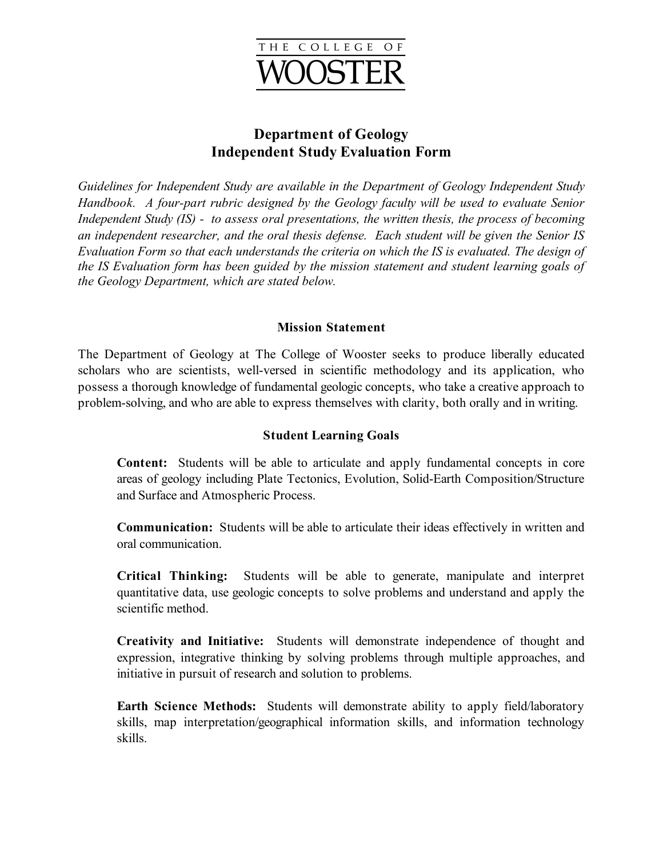

# **Department of Geology Independent Study Evaluation Form**

*Guidelines for Independent Study are available in the Department of Geology Independent Study Handbook. A four-part rubric designed by the Geology faculty will be used to evaluate Senior Independent Study (IS) - to assess oral presentations, the written thesis, the process of becoming an independent researcher, and the oral thesis defense. Each student will be given the Senior IS Evaluation Form so that each understands the criteria on which the IS is evaluated. The design of the IS Evaluation form has been guided by the mission statement and student learning goals of the Geology Department, which are stated below.*

#### **Mission Statement**

The Department of Geology at The College of Wooster seeks to produce liberally educated scholars who are scientists, well-versed in scientific methodology and its application, who possess a thorough knowledge of fundamental geologic concepts, who take a creative approach to problem-solving, and who are able to express themselves with clarity, both orally and in writing.

#### **Student Learning Goals**

**Content:** Students will be able to articulate and apply fundamental concepts in core areas of geology including Plate Tectonics, Evolution, Solid-Earth Composition/Structure and Surface and Atmospheric Process.

**Communication:** Students will be able to articulate their ideas effectively in written and oral communication.

**Critical Thinking:** Students will be able to generate, manipulate and interpret quantitative data, use geologic concepts to solve problems and understand and apply the scientific method.

**Creativity and Initiative:** Students will demonstrate independence of thought and expression, integrative thinking by solving problems through multiple approaches, and initiative in pursuit of research and solution to problems.

**Earth Science Methods:** Students will demonstrate ability to apply field/laboratory skills, map interpretation/geographical information skills, and information technology skills.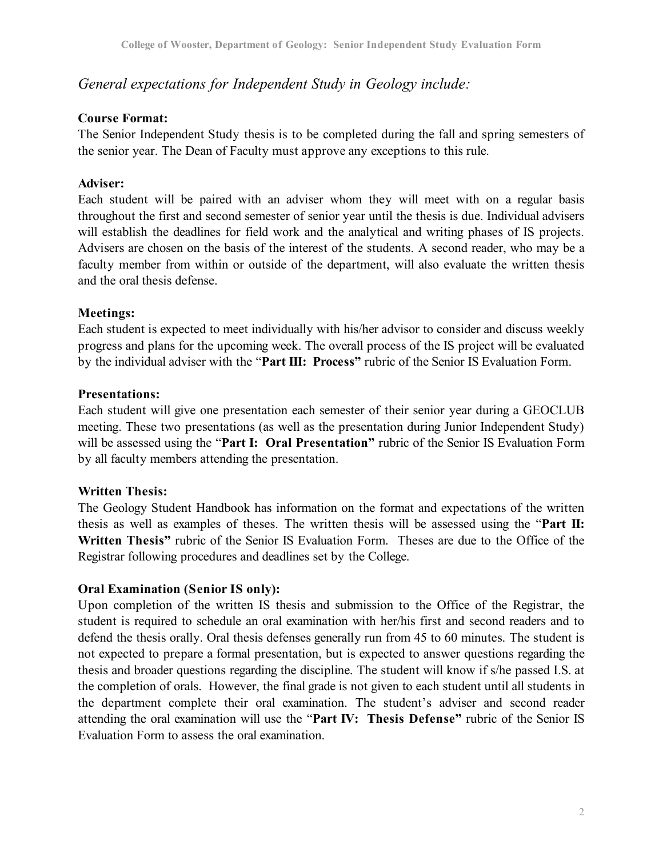## *General expectations for Independent Study in Geology include:*

#### **Course Format:**

The Senior Independent Study thesis is to be completed during the fall and spring semesters of the senior year. The Dean of Faculty must approve any exceptions to this rule.

#### **Adviser:**

Each student will be paired with an adviser whom they will meet with on a regular basis throughout the first and second semester of senior year until the thesis is due. Individual advisers will establish the deadlines for field work and the analytical and writing phases of IS projects. Advisers are chosen on the basis of the interest of the students. A second reader, who may be a faculty member from within or outside of the department, will also evaluate the written thesis and the oral thesis defense.

## **Meetings:**

Each student is expected to meet individually with his/her advisor to consider and discuss weekly progress and plans for the upcoming week. The overall process of the IS project will be evaluated by the individual adviser with the "**Part III: Process"** rubric of the Senior IS Evaluation Form.

#### **Presentations:**

Each student will give one presentation each semester of their senior year during a GEOCLUB meeting. These two presentations (as well as the presentation during Junior Independent Study) will be assessed using the "**Part I: Oral Presentation"** rubric of the Senior IS Evaluation Form by all faculty members attending the presentation.

## **Written Thesis:**

The Geology Student Handbook has information on the format and expectations of the written thesis as well as examples of theses. The written thesis will be assessed using the "**Part II: Written Thesis"** rubric of the Senior IS Evaluation Form. Theses are due to the Office of the Registrar following procedures and deadlines set by the College.

## **Oral Examination (Senior IS only):**

Upon completion of the written IS thesis and submission to the Office of the Registrar, the student is required to schedule an oral examination with her/his first and second readers and to defend the thesis orally. Oral thesis defenses generally run from 45 to 60 minutes. The student is not expected to prepare a formal presentation, but is expected to answer questions regarding the thesis and broader questions regarding the discipline. The student will know if s/he passed I.S. at the completion of orals. However, the final grade is not given to each student until all students in the department complete their oral examination. The student's adviser and second reader attending the oral examination will use the "**Part IV: Thesis Defense"** rubric of the Senior IS Evaluation Form to assess the oral examination.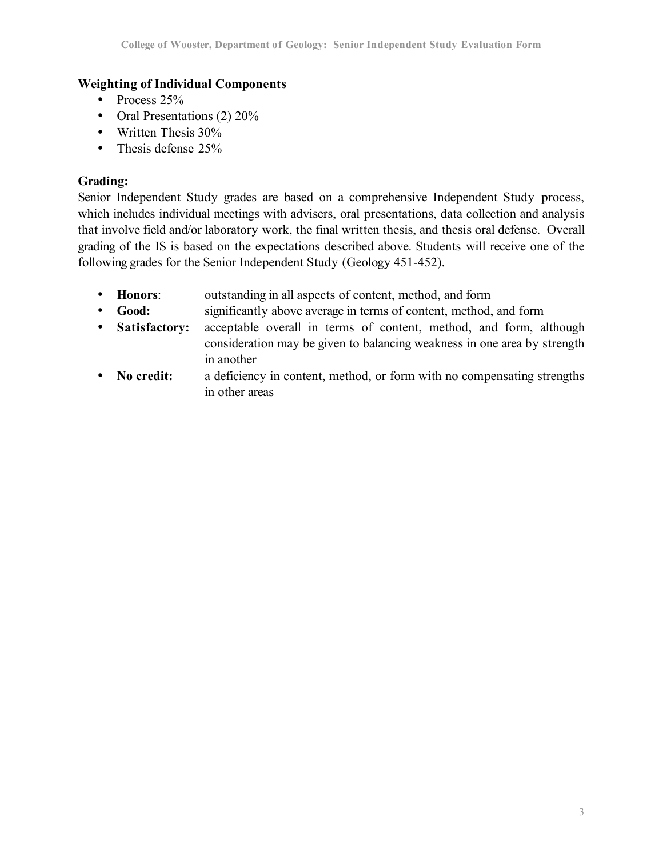## **Weighting of Individual Components**

- Process 25%
- Oral Presentations (2) 20%
- Written Thesis 30%
- Thesis defense 25%

## **Grading:**

Senior Independent Study grades are based on a comprehensive Independent Study process, which includes individual meetings with advisers, oral presentations, data collection and analysis that involve field and/or laboratory work, the final written thesis, and thesis oral defense. Overall grading of the IS is based on the expectations described above. Students will receive one of the following grades for the Senior Independent Study (Geology 451-452).

- **Honors**: outstanding in all aspects of content, method, and form
- **Good:** significantly above average in terms of content, method, and form
- **Satisfactory:** acceptable overall in terms of content, method, and form, although consideration may be given to balancing weakness in one area by strength in another
- **No credit:** a deficiency in content, method, or form with no compensating strengths in other areas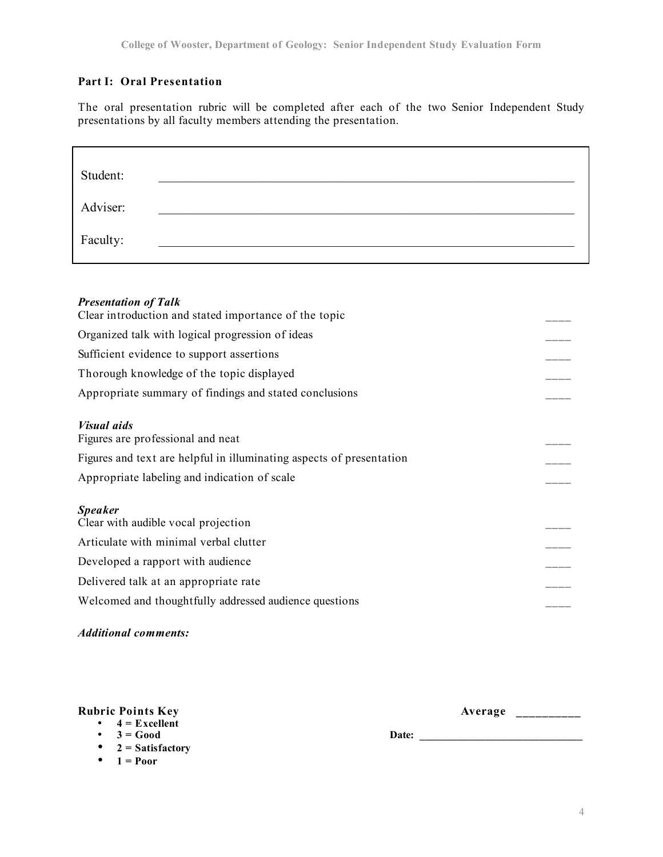#### **Part I: Oral Presentation**

The oral presentation rubric will be completed after each of the two Senior Independent Study presentations by all faculty members attending the presentation.

| Student: |  |  |  |
|----------|--|--|--|
| Adviser: |  |  |  |
| Faculty: |  |  |  |

#### *Presentation of Talk*

| Organized talk with logical progression of ideas<br>Sufficient evidence to support assertions<br>Thorough knowledge of the topic displayed<br>Appropriate summary of findings and stated conclusions<br><b>Visual aids</b><br>Figures are professional and neat<br>Figures and text are helpful in illuminating aspects of presentation<br>Appropriate labeling and indication of scale<br><b>Speaker</b><br>Clear with audible vocal projection<br>Articulate with minimal verbal clutter<br>Developed a rapport with audience<br>Delivered talk at an appropriate rate<br>Welcomed and thoughtfully addressed audience questions | Clear introduction and stated importance of the topic |  |
|------------------------------------------------------------------------------------------------------------------------------------------------------------------------------------------------------------------------------------------------------------------------------------------------------------------------------------------------------------------------------------------------------------------------------------------------------------------------------------------------------------------------------------------------------------------------------------------------------------------------------------|-------------------------------------------------------|--|
|                                                                                                                                                                                                                                                                                                                                                                                                                                                                                                                                                                                                                                    |                                                       |  |
|                                                                                                                                                                                                                                                                                                                                                                                                                                                                                                                                                                                                                                    |                                                       |  |
|                                                                                                                                                                                                                                                                                                                                                                                                                                                                                                                                                                                                                                    |                                                       |  |
|                                                                                                                                                                                                                                                                                                                                                                                                                                                                                                                                                                                                                                    |                                                       |  |
|                                                                                                                                                                                                                                                                                                                                                                                                                                                                                                                                                                                                                                    |                                                       |  |
|                                                                                                                                                                                                                                                                                                                                                                                                                                                                                                                                                                                                                                    |                                                       |  |
|                                                                                                                                                                                                                                                                                                                                                                                                                                                                                                                                                                                                                                    |                                                       |  |
|                                                                                                                                                                                                                                                                                                                                                                                                                                                                                                                                                                                                                                    |                                                       |  |
|                                                                                                                                                                                                                                                                                                                                                                                                                                                                                                                                                                                                                                    |                                                       |  |
|                                                                                                                                                                                                                                                                                                                                                                                                                                                                                                                                                                                                                                    |                                                       |  |
|                                                                                                                                                                                                                                                                                                                                                                                                                                                                                                                                                                                                                                    |                                                       |  |
|                                                                                                                                                                                                                                                                                                                                                                                                                                                                                                                                                                                                                                    |                                                       |  |
|                                                                                                                                                                                                                                                                                                                                                                                                                                                                                                                                                                                                                                    |                                                       |  |

#### *Additional comments:*

#### **Rubric Points Key Average \_\_\_\_\_\_\_\_\_\_**

- $4 =$  **Excellent**<br>•  $3 =$  **Good**
- 
- **2 = Satisfactory**
- $1 = Poor$

• **3 = Good Date: \_\_\_\_\_\_\_\_\_\_\_\_\_\_\_\_\_\_\_\_\_\_\_\_\_\_\_\_\_\_**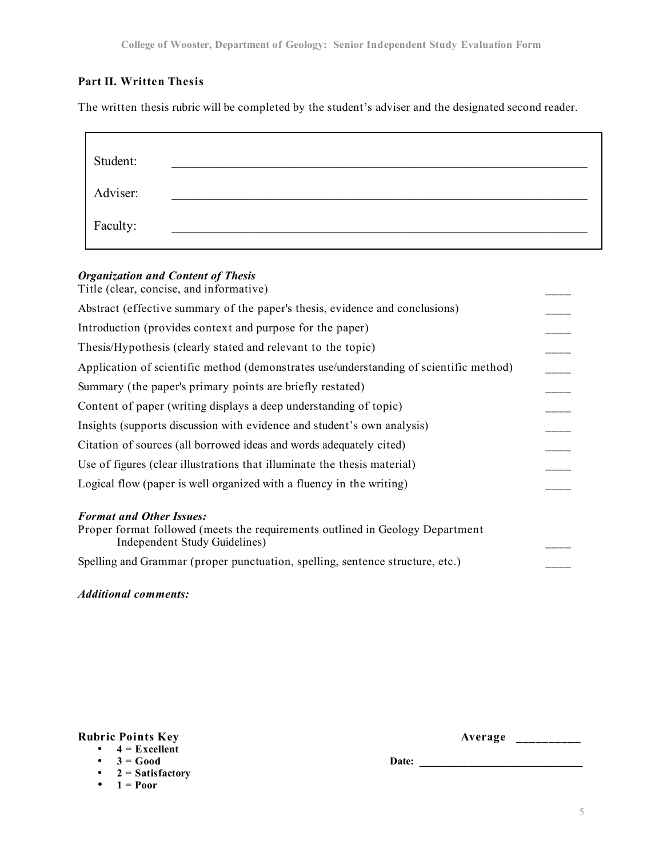#### **Part II. Written Thesis**

The written thesis rubric will be completed by the student's adviser and the designated second reader.

| Student: |  |  |
|----------|--|--|
| Adviser: |  |  |
| Faculty: |  |  |

#### *Organization and Content of Thesis*

Spelling and Grammar (proper punctuation, spelling, sentence structure, etc.)

*Additional comments:*

| <b>Rubric Points Key</b> | Average |
|--------------------------|---------|
|--------------------------|---------|

• **3 = Good Date: \_\_\_\_\_\_\_\_\_\_\_\_\_\_\_\_\_\_\_\_\_\_\_\_\_\_\_\_\_\_**

- $4 = Excellent$ <br>•  $3 = Good$
- **2 = Satisfactory**
- $1 = Poor$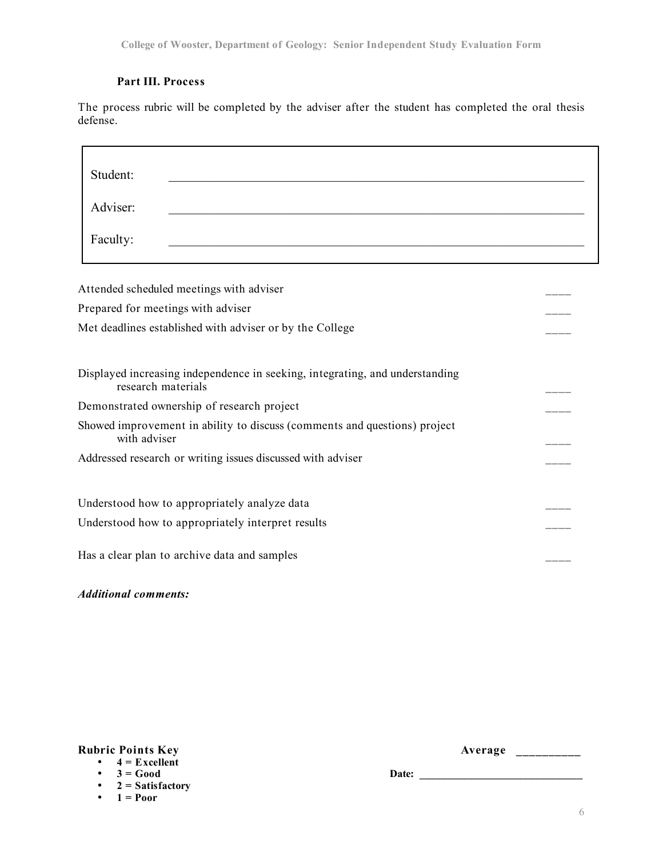#### **Part III. Process**

Ē

The process rubric will be completed by the adviser after the student has completed the oral thesis defense.

| Student:                                                                                           |  |
|----------------------------------------------------------------------------------------------------|--|
| Adviser:                                                                                           |  |
| Faculty:                                                                                           |  |
| Attended scheduled meetings with adviser                                                           |  |
| Prepared for meetings with adviser                                                                 |  |
| Met deadlines established with adviser or by the College                                           |  |
| Displayed increasing independence in seeking, integrating, and understanding<br>research materials |  |
| Demonstrated ownership of research project                                                         |  |
| Showed improvement in ability to discuss (comments and questions) project<br>with adviser          |  |
| Addressed research or writing issues discussed with adviser                                        |  |
| Understood how to appropriately analyze data                                                       |  |
| Understood how to appropriately interpret results                                                  |  |
| Has a clear plan to archive data and samples                                                       |  |

*Additional comments:*

|  | $4 =$ Excellent |  |
|--|-----------------|--|
|  |                 |  |

|  | $=$ Good |  |  |  |
|--|----------|--|--|--|
|  |          |  |  |  |

• **2 = Satisfactory**

•  $1 = **Proof**$ 

**Rubric Points Key Average \_\_\_\_\_\_\_\_\_\_**

• **3 = Good Date: \_\_\_\_\_\_\_\_\_\_\_\_\_\_\_\_\_\_\_\_\_\_\_\_\_\_\_\_\_\_**